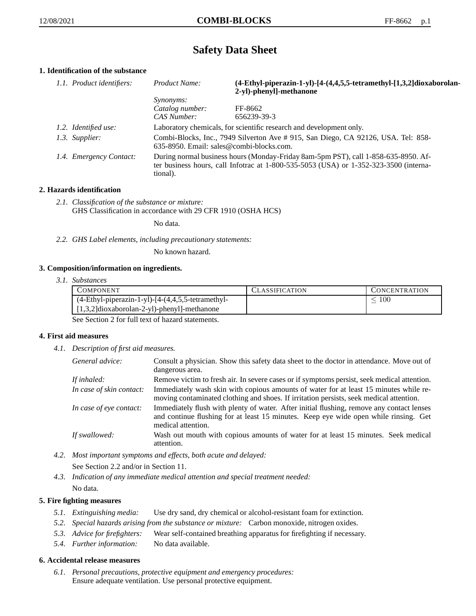# **Safety Data Sheet**

# **1. Identification of the substance**

| 1.1. Product identifiers: | Product Name:                                                                                                                                                                           | (4-Ethyl-piperazin-1-yl)-[4-(4,4,5,5-tetramethyl-[1,3,2]dioxaborolan-<br>2-yl)-phenyl]-methanone |  |
|---------------------------|-----------------------------------------------------------------------------------------------------------------------------------------------------------------------------------------|--------------------------------------------------------------------------------------------------|--|
|                           | <i>Synonyms:</i>                                                                                                                                                                        |                                                                                                  |  |
|                           | Catalog number:                                                                                                                                                                         | FF-8662                                                                                          |  |
|                           | CAS Number:                                                                                                                                                                             | 656239-39-3                                                                                      |  |
| 1.2. Identified use:      |                                                                                                                                                                                         | Laboratory chemicals, for scientific research and development only.                              |  |
| 1.3. Supplier:            | Combi-Blocks, Inc., 7949 Silverton Ave # 915, San Diego, CA 92126, USA. Tel: 858-<br>$635-8950$ . Email: sales@combi-blocks.com.                                                        |                                                                                                  |  |
| 1.4. Emergency Contact:   | During normal business hours (Monday-Friday 8am-5pm PST), call 1-858-635-8950. Af-<br>ter business hours, call Infotrac at 1-800-535-5053 (USA) or 1-352-323-3500 (interna-<br>tional). |                                                                                                  |  |

# **2. Hazards identification**

*2.1. Classification of the substance or mixture:* GHS Classification in accordance with 29 CFR 1910 (OSHA HCS)

No data.

*2.2. GHS Label elements, including precautionary statements:*

No known hazard.

## **3. Composition/information on ingredients.**

*3.1. Substances*

| <b>COMPONENT</b>                                        | <b>CLASSIFICATION</b> | <b>CONCENTRATION</b> |
|---------------------------------------------------------|-----------------------|----------------------|
| $(4-Ethyl-piperazin-1-yl)$ - $[4-(4,4,5,5-tetramethyl-$ |                       | 100                  |
| $[1,3,2]$ dioxaborolan-2-yl)-phenyl]-methanone          |                       |                      |

See Section 2 for full text of hazard statements.

### **4. First aid measures**

*4.1. Description of first aid measures.*

| General advice:          | Consult a physician. Show this safety data sheet to the doctor in attendance. Move out of<br>dangerous area.                                                                                            |
|--------------------------|---------------------------------------------------------------------------------------------------------------------------------------------------------------------------------------------------------|
| If inhaled:              | Remove victim to fresh air. In severe cases or if symptoms persist, seek medical attention.                                                                                                             |
| In case of skin contact: | Immediately wash skin with copious amounts of water for at least 15 minutes while re-<br>moving contaminated clothing and shoes. If irritation persists, seek medical attention.                        |
| In case of eye contact:  | Immediately flush with plenty of water. After initial flushing, remove any contact lenses<br>and continue flushing for at least 15 minutes. Keep eye wide open while rinsing. Get<br>medical attention. |
| If swallowed:            | Wash out mouth with copious amounts of water for at least 15 minutes. Seek medical<br>attention.                                                                                                        |

- *4.2. Most important symptoms and effects, both acute and delayed:* See Section 2.2 and/or in Section 11.
- *4.3. Indication of any immediate medical attention and special treatment needed:* No data.

## **5. Fire fighting measures**

- *5.1. Extinguishing media:* Use dry sand, dry chemical or alcohol-resistant foam for extinction.
- *5.2. Special hazards arising from the substance or mixture:* Carbon monoxide, nitrogen oxides.
- *5.3. Advice for firefighters:* Wear self-contained breathing apparatus for firefighting if necessary.
- *5.4. Further information:* No data available.

### **6. Accidental release measures**

*6.1. Personal precautions, protective equipment and emergency procedures:* Ensure adequate ventilation. Use personal protective equipment.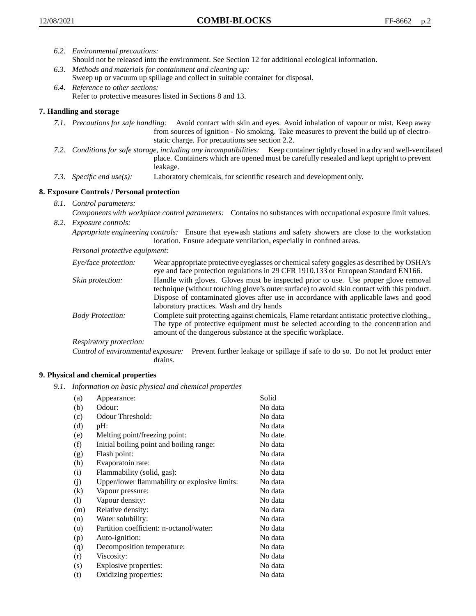- *6.2. Environmental precautions:* Should not be released into the environment. See Section 12 for additional ecological information. *6.3. Methods and materials for containment and cleaning up:*
	- Sweep up or vacuum up spillage and collect in suitable container for disposal.
- *6.4. Reference to other sections:* Refer to protective measures listed in Sections 8 and 13.

# **7. Handling and storage**

- *7.1. Precautions for safe handling:* Avoid contact with skin and eyes. Avoid inhalation of vapour or mist. Keep away from sources of ignition - No smoking. Take measures to prevent the build up of electrostatic charge. For precautions see section 2.2.
- *7.2. Conditions for safe storage, including any incompatibilities:* Keep container tightly closed in a dry and well-ventilated place. Containers which are opened must be carefully resealed and kept upright to prevent leakage.
- *7.3. Specific end use(s):* Laboratory chemicals, for scientific research and development only.

## **8. Exposure Controls / Personal protection**

- *8.1. Control parameters:*
- *Components with workplace control parameters:* Contains no substances with occupational exposure limit values. *8.2. Exposure controls:*

*Appropriate engineering controls:* Ensure that eyewash stations and safety showers are close to the workstation location. Ensure adequate ventilation, especially in confined areas.

*Personal protective equipment:*

| Eye/face protection:    | Wear appropriate protective eyeglasses or chemical safety goggles as described by OSHA's<br>eye and face protection regulations in 29 CFR 1910.133 or European Standard EN166.                                                                                                                                         |
|-------------------------|------------------------------------------------------------------------------------------------------------------------------------------------------------------------------------------------------------------------------------------------------------------------------------------------------------------------|
| Skin protection:        | Handle with gloves. Gloves must be inspected prior to use. Use proper glove removal<br>technique (without touching glove's outer surface) to avoid skin contact with this product.<br>Dispose of contaminated gloves after use in accordance with applicable laws and good<br>laboratory practices. Wash and dry hands |
| <b>Body Protection:</b> | Complete suit protecting against chemicals, Flame retardant antistatic protective clothing.,<br>The type of protective equipment must be selected according to the concentration and<br>amount of the dangerous substance at the specific workplace.                                                                   |
| Respiratory protection: |                                                                                                                                                                                                                                                                                                                        |

Control of environmental exposure: Prevent further leakage or spillage if safe to do so. Do not let product enter drains.

### **9. Physical and chemical properties**

*9.1. Information on basic physical and chemical properties*

| (a)      | Appearance:                                   | Solid    |
|----------|-----------------------------------------------|----------|
| (b)      | Odour:                                        | No data  |
| (c)      | Odour Threshold:                              | No data  |
| (d)      | pH:                                           | No data  |
| (e)      | Melting point/freezing point:                 | No date. |
| (f)      | Initial boiling point and boiling range:      | No data  |
| (g)      | Flash point:                                  | No data  |
| (h)      | Evaporatoin rate:                             | No data  |
| (i)      | Flammability (solid, gas):                    | No data  |
| (j)      | Upper/lower flammability or explosive limits: | No data  |
| $\rm(k)$ | Vapour pressure:                              | No data  |
| (1)      | Vapour density:                               | No data  |
| (m)      | Relative density:                             | No data  |
| (n)      | Water solubility:                             | No data  |
| $\circ$  | Partition coefficient: n-octanol/water:       | No data  |
| (p)      | Auto-ignition:                                | No data  |
| (q)      | Decomposition temperature:                    | No data  |
| (r)      | Viscosity:                                    | No data  |
| (s)      | Explosive properties:                         | No data  |
| (t)      | Oxidizing properties:                         | No data  |